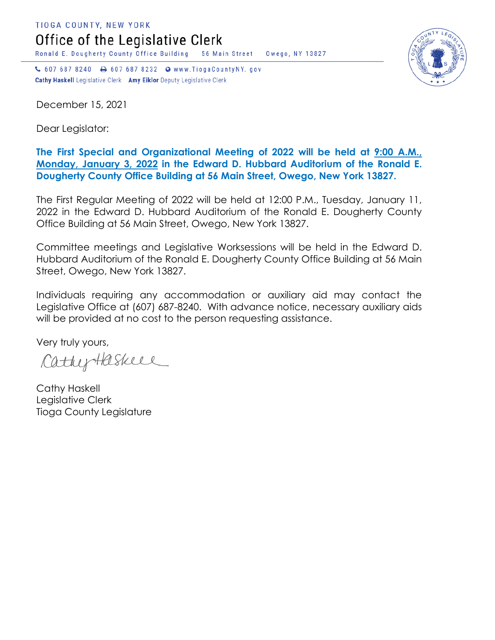TIOGA COUNTY, NEW YORK Office of the Legislative Clerk

Ronald E. Dougherty County Office Building 56 Main Street Owego, NY 13827

↓ 607 687 8240 → 607 687 8232 → www.TiogaCountyNY.gov Cathy Haskell Legislative Clerk Amy Eiklor Deputy Legislative Clerk

December 15, 2021

Dear Legislator:

## **The First Special and Organizational Meeting of 2022 will be held at 9:00 A.M., Monday, January 3, 2022 in the Edward D. Hubbard Auditorium of the Ronald E. Dougherty County Office Building at 56 Main Street, Owego, New York 13827.**

The First Regular Meeting of 2022 will be held at 12:00 P.M., Tuesday, January 11, 2022 in the Edward D. Hubbard Auditorium of the Ronald E. Dougherty County Office Building at 56 Main Street, Owego, New York 13827.

Committee meetings and Legislative Worksessions will be held in the Edward D. Hubbard Auditorium of the Ronald E. Dougherty County Office Building at 56 Main Street, Owego, New York 13827.

Individuals requiring any accommodation or auxiliary aid may contact the Legislative Office at (607) 687-8240. With advance notice, necessary auxiliary aids will be provided at no cost to the person requesting assistance.

Very truly yours,

CathyHaskell

Cathy Haskell Legislative Clerk Tioga County Legislature